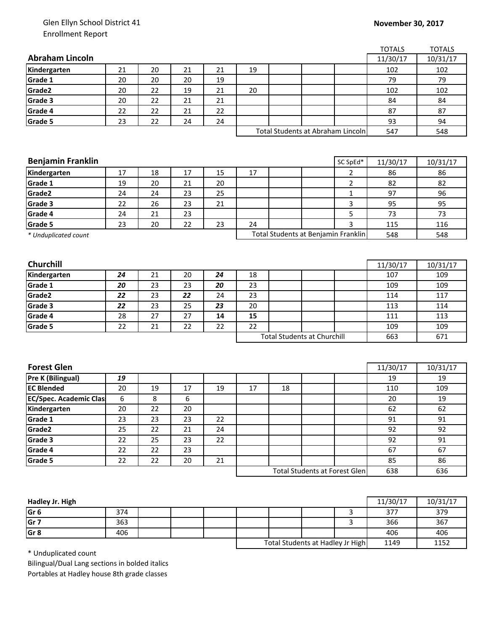## Glen Ellyn School District 41 Enrollment Report

## **November 30, 2017**

|                               |    |    |    |    |                                   |    |                                      |                | <b>TOTALS</b> | <b>TOTALS</b> |
|-------------------------------|----|----|----|----|-----------------------------------|----|--------------------------------------|----------------|---------------|---------------|
| <b>Abraham Lincoln</b>        |    |    |    |    |                                   |    |                                      |                | 11/30/17      | 10/31/17      |
| Kindergarten                  | 21 | 20 | 21 | 21 | 19                                |    |                                      |                | 102           | 102           |
| Grade 1                       | 20 | 20 | 20 | 19 |                                   |    |                                      |                | 79            | 79            |
| Grade2                        | 20 | 22 | 19 | 21 | 20                                |    |                                      |                | 102           | 102           |
| Grade 3                       | 20 | 22 | 21 | 21 |                                   |    |                                      |                | 84            | 84            |
| Grade 4                       | 22 | 22 | 21 | 22 |                                   |    |                                      |                | 87            | 87            |
| Grade 5                       | 23 | 22 | 24 | 24 |                                   |    |                                      |                | 93            | 94            |
|                               |    |    |    |    | Total Students at Abraham Lincoln |    |                                      |                | 547           | 548           |
|                               |    |    |    |    |                                   |    |                                      |                |               |               |
|                               |    |    |    |    |                                   |    |                                      |                |               |               |
| <b>Benjamin Franklin</b>      |    |    |    |    |                                   |    |                                      | SC SpEd*       | 11/30/17      | 10/31/17      |
| Kindergarten                  | 17 | 18 | 17 | 15 | 17                                |    |                                      | $\overline{2}$ | 86            | 86            |
| Grade 1                       | 19 | 20 | 21 | 20 |                                   |    |                                      | $\overline{2}$ | 82            | 82            |
| Grade2                        | 24 | 24 | 23 | 25 |                                   |    |                                      | 1              | 97            | 96            |
| Grade 3                       | 22 | 26 | 23 | 21 |                                   |    |                                      | 3              | 95            | 95            |
| Grade 4                       | 24 | 21 | 23 |    |                                   |    |                                      | 5              | 73            | 73            |
| <b>Grade 5</b>                | 23 | 20 | 22 | 23 | 24                                |    |                                      | 3              | 115           | 116           |
| * Unduplicated count          |    |    |    |    |                                   |    | Total Students at Benjamin Franklin  | 548            | 548           |               |
|                               |    |    |    |    |                                   |    |                                      |                |               |               |
|                               |    |    |    |    |                                   |    |                                      |                |               |               |
| <b>Churchill</b>              |    |    |    |    |                                   |    |                                      |                | 11/30/17      | 10/31/17      |
| Kindergarten                  | 24 | 21 | 20 | 24 | 18                                |    |                                      |                | 107           | 109           |
| Grade 1                       | 20 | 23 | 23 | 20 | 23                                |    |                                      |                | 109           | 109           |
| Grade <sub>2</sub>            | 22 | 23 | 22 | 24 | 23                                |    |                                      |                | 114           | 117           |
| Grade 3                       | 22 | 23 | 25 | 23 | 20                                |    |                                      |                | 113           | 114           |
| Grade 4                       | 28 | 27 | 27 | 14 | 15                                |    |                                      |                | 111           | 113           |
| Grade 5                       | 22 | 21 | 22 | 22 | 22                                |    |                                      |                | 109           | 109           |
|                               |    |    |    |    |                                   |    | <b>Total Students at Churchill</b>   |                | 663           | 671           |
|                               |    |    |    |    |                                   |    |                                      |                |               |               |
|                               |    |    |    |    |                                   |    |                                      |                |               |               |
| <b>Forest Glen</b>            |    |    |    |    |                                   |    |                                      |                | 11/30/17      | 10/31/17      |
| Pre K (Bilingual)             | 19 |    |    |    |                                   |    |                                      |                | 19            | 19            |
| <b>EC Blended</b>             | 20 | 19 | 17 | 19 | 17                                | 18 |                                      |                | 110           | 109           |
| <b>EC/Spec. Academic Clas</b> | 6  | 8  | 6  |    |                                   |    |                                      |                | 20            | 19            |
| Kindergarten                  | 20 | 22 | 20 |    |                                   |    |                                      |                | 62            | 62            |
| Grade 1                       | 23 | 23 | 23 | 22 |                                   |    |                                      |                | 91            | 91            |
| Grade2                        | 25 | 22 | 21 | 24 |                                   |    |                                      |                | 92            | 92            |
| Grade 3                       | 22 | 25 | 23 | 22 |                                   |    |                                      |                | 92            | 91            |
| Grade 4                       | 22 | 22 | 23 |    |                                   |    |                                      |                | 67            | 67            |
| Grade 5                       | 22 | 22 | 20 | 21 |                                   |    |                                      |                | 85            | 86            |
|                               |    |    |    |    |                                   |    | <b>Total Students at Forest Glen</b> |                | 638           | 636           |
|                               |    |    |    |    |                                   |    |                                      |                |               |               |

| Hadley Jr. High |     |  |                                  |  |      | 11/30/17 | 10/31/17 |
|-----------------|-----|--|----------------------------------|--|------|----------|----------|
| Gr <sub>6</sub> | 374 |  |                                  |  |      | 377      | 379      |
| Gr <sub>7</sub> | 363 |  |                                  |  |      | 366      | 367      |
| Gr <sub>8</sub> | 406 |  |                                  |  |      | 406      | 406      |
|                 |     |  | Total Students at Hadley Jr High |  | 1149 | 1152     |          |

\* Unduplicated count

Bilingual/Dual Lang sections in bolded italics Portables at Hadley house 8th grade classes